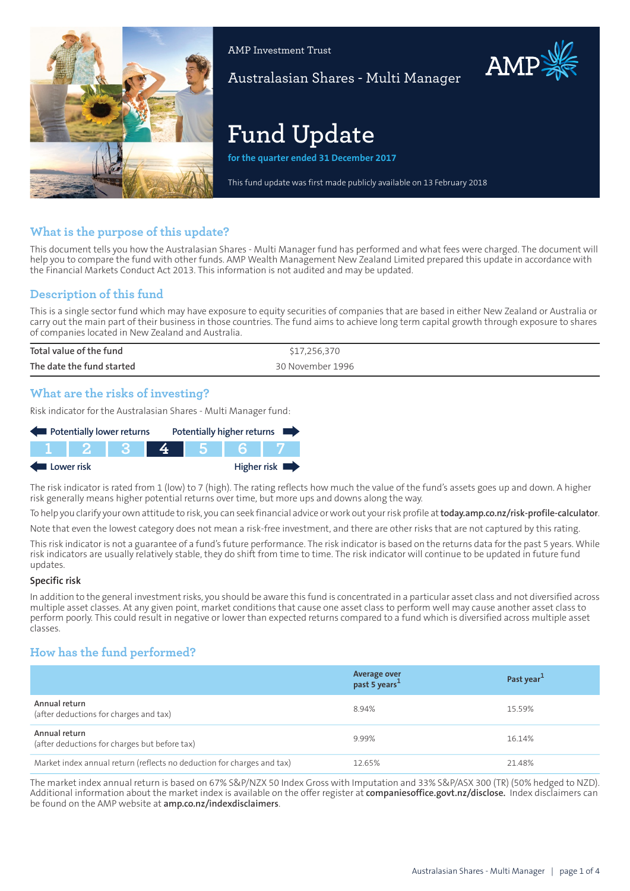

AMP Investment Trust

Australasian Shares - Multi Manager

# **Fund Update**

**for the quarter ended 31 December 2017**

This fund update was first made publicly available on 13 February 2018

## **What is the purpose of this update?**

This document tells you how the Australasian Shares - Multi Manager fund has performed and what fees were charged. The document will help you to compare the fund with other funds. AMP Wealth Management New Zealand Limited prepared this update in accordance with the Financial Markets Conduct Act 2013. This information is not audited and may be updated.

## **Description of this fund**

This is a single sector fund which may have exposure to equity securities of companies that are based in either New Zealand or Australia or carry out the main part of their business in those countries. The fund aims to achieve long term capital growth through exposure to shares of companies located in New Zealand and Australia.

| Total value of the fund   | \$17,256,370     |
|---------------------------|------------------|
| The date the fund started | 30 November 1996 |

## **What are the risks of investing?**

Risk indicator for the Australasian Shares - Multi Manager fund:

| Potentially lower returns |        | Potentially higher returns |  |  |             |
|---------------------------|--------|----------------------------|--|--|-------------|
|                           | IT 2 1 |                            |  |  |             |
| Lower risk                |        |                            |  |  | Higher risk |

The risk indicator is rated from 1 (low) to 7 (high). The rating reflects how much the value of the fund's assets goes up and down. A higher risk generally means higher potential returns over time, but more ups and downs along the way.

To help you clarify your own attitude to risk, you can seek financial advice orwork out yourrisk profile at**[today.amp.co.nz/risk-profile-calculator](http://today.amp.co.nz/risk-profile-calculator)**.

Note that even the lowest category does not mean a risk-free investment, and there are other risks that are not captured by this rating.

This risk indicator is not a guarantee of a fund's future performance. The risk indicator is based on the returns data for the past 5 years. While risk indicators are usually relatively stable, they do shift from time to time. The risk indicator will continue to be updated in future fund updates.

#### **Specific risk**

In addition to the general investmentrisks, you should be aware this fund is concentrated in a particular asset class and not diversified across multiple asset classes. At any given point, market conditions that cause one asset class to perform well may cause another asset class to perform poorly. This could result in negative or lower than expected returns compared to a fund which is diversified across multiple asset classes.

# **How has the fund performed?**

|                                                                        | Average over<br>past 5 years <sup>1</sup> | Past year <sup>1</sup> |
|------------------------------------------------------------------------|-------------------------------------------|------------------------|
| Annual return<br>(after deductions for charges and tax)                | 8.94%                                     | 15.59%                 |
| Annual return<br>(after deductions for charges but before tax)         | 9.99%                                     | 16.14%                 |
| Market index annual return (reflects no deduction for charges and tax) | 12.65%                                    | 21.48%                 |

The market index annual return is based on 67% S&P/NZX 50 Index Gross with Imputation and 33% S&P/ASX 300 (TR) (50% hedged to NZD). Additional information about the market index is available on the offer register at **[companiesoffice.govt.nz/disclose.](http://companiesoffice.govt.nz/disclose)** Index disclaimers can be found on the AMP website at **[amp.co.nz/indexdisclaimers](http://amp.co.nz/indexdisclaimers)**.

AMP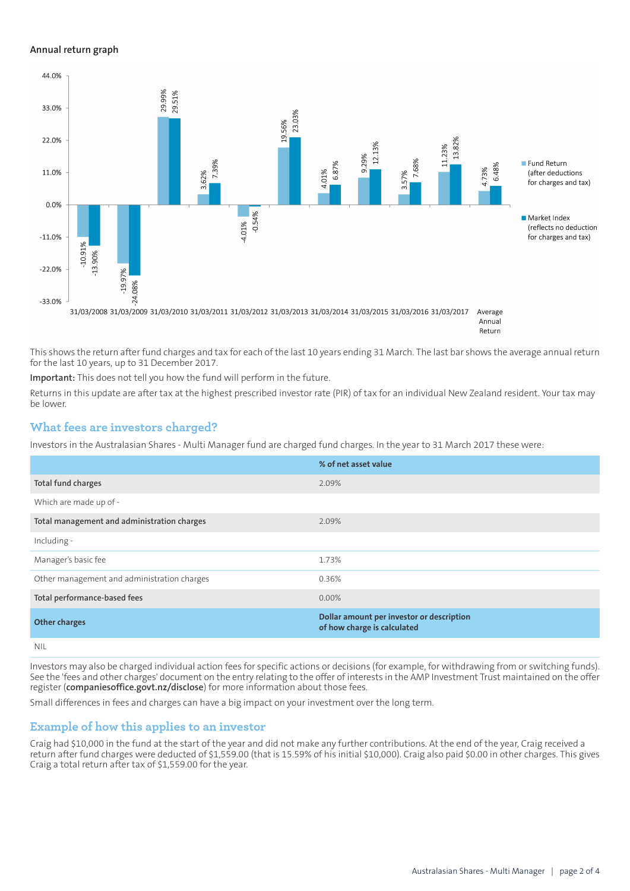#### **Annual return graph**



This shows the return after fund charges and tax for each of the last 10 years ending 31 March. The last bar shows the average annual return for the last 10 years, up to 31 December 2017.

**Important:** This does not tell you how the fund will perform in the future.

Returns in this update are after tax at the highest prescribed investor rate (PIR) of tax for an individual New Zealand resident. Your tax may be lower.

### **What fees are investors charged?**

Investors in the Australasian Shares - Multi Manager fund are charged fund charges. In the year to 31 March 2017 these were:

|                                             | % of net asset value                                                     |
|---------------------------------------------|--------------------------------------------------------------------------|
| Total fund charges                          | 2.09%                                                                    |
| Which are made up of -                      |                                                                          |
| Total management and administration charges | 2.09%                                                                    |
| Including -                                 |                                                                          |
| Manager's basic fee                         | 1.73%                                                                    |
| Other management and administration charges | 0.36%                                                                    |
| Total performance-based fees                | $0.00\%$                                                                 |
| <b>Other charges</b>                        | Dollar amount per investor or description<br>of how charge is calculated |
| NII                                         |                                                                          |

Investors may also be charged individual action fees for specific actions or decisions (for example, for withdrawing from or switching funds). See the 'fees and other charges' document on the entry relating to the offer of interests in the AMP Investment Trust maintained on the offer register (**[companiesoffice.govt.nz/disclose](http://companiesoffice.govt.nz/disclose)**) for more information about those fees.

Small differences in fees and charges can have a big impact on your investment over the long term.

#### **Example of how this applies to an investor**

Craig had \$10,000 in the fund at the start of the year and did not make any further contributions. At the end of the year, Craig received a return after fund charges were deducted of \$1,559.00 (that is 15.59% of his initial \$10,000). Craig also paid \$0.00 in other charges. This gives Craig a total return after tax of \$1,559.00 for the year.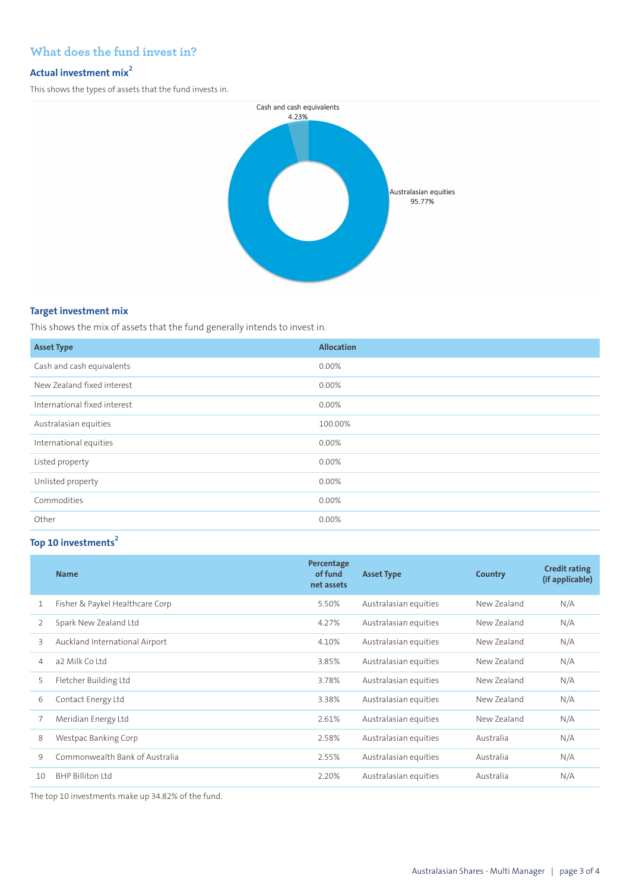# **What does the fund invest in?**

# **Actual investment mix<sup>2</sup>**

This shows the types of assets that the fund invests in.



### **Target investment mix**

This shows the mix of assets that the fund generally intends to invest in.

| <b>Asset Type</b>            | <b>Allocation</b> |
|------------------------------|-------------------|
| Cash and cash equivalents    | 0.00%             |
| New Zealand fixed interest   | 0.00%             |
| International fixed interest | 0.00%             |
| Australasian equities        | 100.00%           |
| International equities       | $0.00\%$          |
| Listed property              | 0.00%             |
| Unlisted property            | 0.00%             |
| Commodities                  | 0.00%             |
| Other                        | $0.00\%$          |

# **Top 10 investments<sup>2</sup>**

| <b>Name</b>                     | Percentage<br>of fund<br>net assets | <b>Asset Type</b>     | Country     | <b>Credit rating</b><br>(if applicable) |
|---------------------------------|-------------------------------------|-----------------------|-------------|-----------------------------------------|
| Fisher & Paykel Healthcare Corp | 5.50%                               | Australasian equities | New Zealand | N/A                                     |
| Spark New Zealand Ltd           | 4.27%                               | Australasian equities | New Zealand | N/A                                     |
| Auckland International Airport  | 4.10%                               | Australasian equities | New Zealand | N/A                                     |
| a2 Milk Co Ltd                  | 3.85%                               | Australasian equities | New Zealand | N/A                                     |
| Fletcher Building Ltd           | 3.78%                               | Australasian equities | New Zealand | N/A                                     |
| Contact Energy Ltd              | 3.38%                               | Australasian equities | New Zealand | N/A                                     |
| Meridian Energy Ltd             | 2.61%                               | Australasian equities | New Zealand | N/A                                     |
| Westpac Banking Corp            | 2.58%                               | Australasian equities | Australia   | N/A                                     |
| Commonwealth Bank of Australia  | 2.55%                               | Australasian equities | Australia   | N/A                                     |
| <b>BHP Billiton Ltd</b>         | 2.20%                               | Australasian equities | Australia   | N/A                                     |
|                                 |                                     |                       |             |                                         |

The top 10 investments make up 34.82% of the fund.